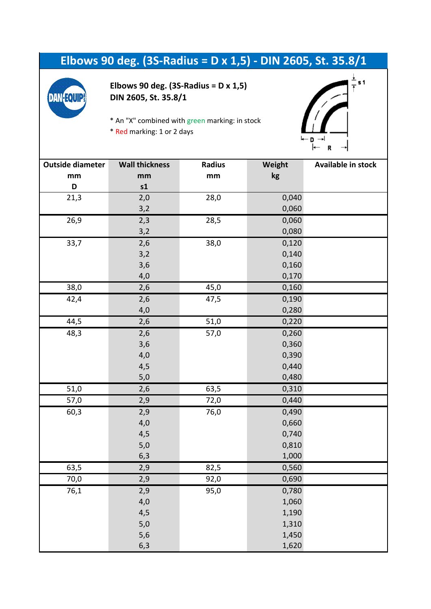## **Elbows 90 deg. (3S-Radius = D x 1,5) - DIN 2605, St. 35.8/1**



**Elbows 90 deg. (3S-Radius = D x 1,5) DIN 2605, St. 35.8/1**

\* An "X" combined with green marking: in stock

\* Red marking: 1 or 2 days



| <b>Outside diameter</b> | <b>Wall thickness</b> | <b>Radius</b> | Weight | <b>Available in stock</b> |
|-------------------------|-----------------------|---------------|--------|---------------------------|
| mm                      | mm                    | mm            | kg     |                           |
| D                       | s1                    |               |        |                           |
| 21,3                    | 2,0                   | 28,0          | 0,040  |                           |
|                         | 3,2                   |               | 0,060  |                           |
| 26,9                    | 2,3                   | 28,5          | 0,060  |                           |
|                         | 3,2                   |               | 0,080  |                           |
| 33,7                    | 2,6                   | 38,0          | 0,120  |                           |
|                         | 3,2                   |               | 0,140  |                           |
|                         | 3,6                   |               | 0,160  |                           |
|                         | 4,0                   |               | 0,170  |                           |
| 38,0                    | 2,6                   | 45,0          | 0,160  |                           |
| 42,4                    | 2,6                   | 47,5          | 0,190  |                           |
|                         | 4,0                   |               | 0,280  |                           |
| 44,5                    | 2,6                   | 51,0          | 0,220  |                           |
| 48,3                    | 2,6                   | 57,0          | 0,260  |                           |
|                         | 3,6                   |               | 0,360  |                           |
|                         | 4,0                   |               | 0,390  |                           |
|                         | 4,5                   |               | 0,440  |                           |
|                         | $5,0$                 |               | 0,480  |                           |
| 51,0                    | 2,6                   | 63,5          | 0,310  |                           |
| 57,0                    | 2,9                   | 72,0          | 0,440  |                           |
| 60,3                    | 2,9                   | 76,0          | 0,490  |                           |
|                         | 4,0                   |               | 0,660  |                           |
|                         | 4,5                   |               | 0,740  |                           |
|                         | $5,0$                 |               | 0,810  |                           |
|                         | 6,3                   |               | 1,000  |                           |
| 63,5                    | 2,9                   | 82,5          | 0,560  |                           |
| 70,0                    | 2,9                   | 92,0          | 0,690  |                           |
| 76,1                    | 2,9                   | 95,0          | 0,780  |                           |
|                         | 4,0                   |               | 1,060  |                           |
|                         | 4,5                   |               | 1,190  |                           |
|                         | 5,0                   |               | 1,310  |                           |
|                         | 5,6                   |               | 1,450  |                           |
|                         | 6,3                   |               | 1,620  |                           |